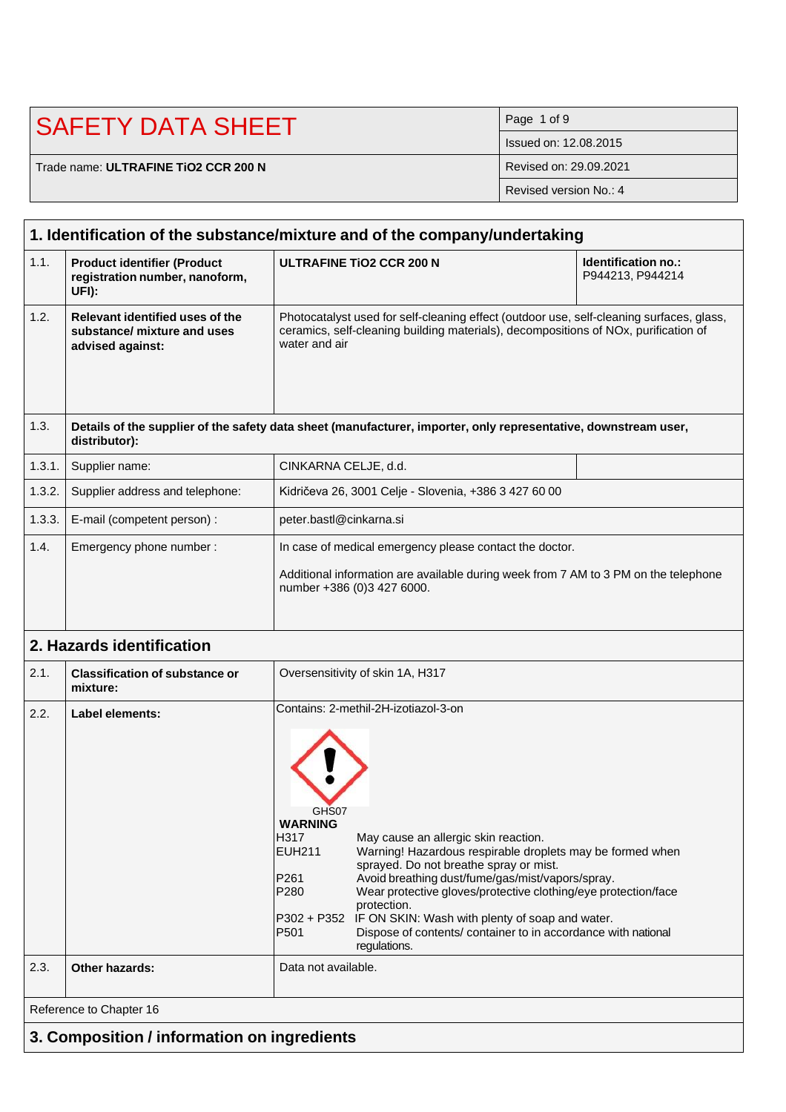| <b>ISAFETY DATA SHEET</b>            | Page 1 of 9            |
|--------------------------------------|------------------------|
|                                      | Issued on: 12,08,2015  |
| Trade name: ULTRAFINE TIO2 CCR 200 N | Revised on: 29.09.2021 |
|                                      | Revised version No.: 4 |

|        | 1. Identification of the substance/mixture and of the company/undertaking          |                                                                                                                                                                                                                                                                                                                                                                                                                                                                                                                                                                     |                                                |  |  |  |
|--------|------------------------------------------------------------------------------------|---------------------------------------------------------------------------------------------------------------------------------------------------------------------------------------------------------------------------------------------------------------------------------------------------------------------------------------------------------------------------------------------------------------------------------------------------------------------------------------------------------------------------------------------------------------------|------------------------------------------------|--|--|--|
| 1.1.   | <b>Product identifier (Product</b><br>registration number, nanoform,<br>UFI):      | <b>ULTRAFINE TIO2 CCR 200 N</b>                                                                                                                                                                                                                                                                                                                                                                                                                                                                                                                                     | <b>Identification no.:</b><br>P944213, P944214 |  |  |  |
| 1.2.   | Relevant identified uses of the<br>substance/ mixture and uses<br>advised against: | Photocatalyst used for self-cleaning effect (outdoor use, self-cleaning surfaces, glass,<br>ceramics, self-cleaning building materials), decompositions of NOx, purification of<br>water and air                                                                                                                                                                                                                                                                                                                                                                    |                                                |  |  |  |
| 1.3.   | distributor):                                                                      | Details of the supplier of the safety data sheet (manufacturer, importer, only representative, downstream user,                                                                                                                                                                                                                                                                                                                                                                                                                                                     |                                                |  |  |  |
| 1.3.1. | Supplier name:                                                                     | CINKARNA CELJE, d.d.                                                                                                                                                                                                                                                                                                                                                                                                                                                                                                                                                |                                                |  |  |  |
| 1.3.2. | Supplier address and telephone:                                                    | Kidričeva 26, 3001 Celje - Slovenia, +386 3 427 60 00                                                                                                                                                                                                                                                                                                                                                                                                                                                                                                               |                                                |  |  |  |
| 1.3.3. | E-mail (competent person) :                                                        | peter.bastl@cinkarna.si                                                                                                                                                                                                                                                                                                                                                                                                                                                                                                                                             |                                                |  |  |  |
| 1.4.   | Emergency phone number:                                                            | In case of medical emergency please contact the doctor.                                                                                                                                                                                                                                                                                                                                                                                                                                                                                                             |                                                |  |  |  |
|        |                                                                                    | Additional information are available during week from 7 AM to 3 PM on the telephone<br>number +386 (0)3 427 6000.                                                                                                                                                                                                                                                                                                                                                                                                                                                   |                                                |  |  |  |
|        | 2. Hazards identification                                                          |                                                                                                                                                                                                                                                                                                                                                                                                                                                                                                                                                                     |                                                |  |  |  |
| 2.1.   | <b>Classification of substance or</b><br>mixture:                                  | Oversensitivity of skin 1A, H317                                                                                                                                                                                                                                                                                                                                                                                                                                                                                                                                    |                                                |  |  |  |
| 2.2.   | <b>Label elements:</b>                                                             | Contains: 2-methil-2H-izotiazol-3-on<br>GHS07<br><b>WARNING</b><br>H317<br>May cause an allergic skin reaction.<br><b>EUH211</b><br>Warning! Hazardous respirable droplets may be formed when<br>sprayed. Do not breathe spray or mist.<br>Avoid breathing dust/fume/gas/mist/vapors/spray.<br>P261<br>Wear protective gloves/protective clothing/eye protection/face<br>P280<br>protection.<br>P302 + P352<br>IF ON SKIN: Wash with plenty of soap and water.<br>P <sub>501</sub><br>Dispose of contents/ container to in accordance with national<br>regulations. |                                                |  |  |  |
| 2.3.   | Other hazards:                                                                     | Data not available.                                                                                                                                                                                                                                                                                                                                                                                                                                                                                                                                                 |                                                |  |  |  |
|        | Reference to Chapter 16                                                            |                                                                                                                                                                                                                                                                                                                                                                                                                                                                                                                                                                     |                                                |  |  |  |
|        | 3. Composition / information on ingredients                                        |                                                                                                                                                                                                                                                                                                                                                                                                                                                                                                                                                                     |                                                |  |  |  |
|        |                                                                                    |                                                                                                                                                                                                                                                                                                                                                                                                                                                                                                                                                                     |                                                |  |  |  |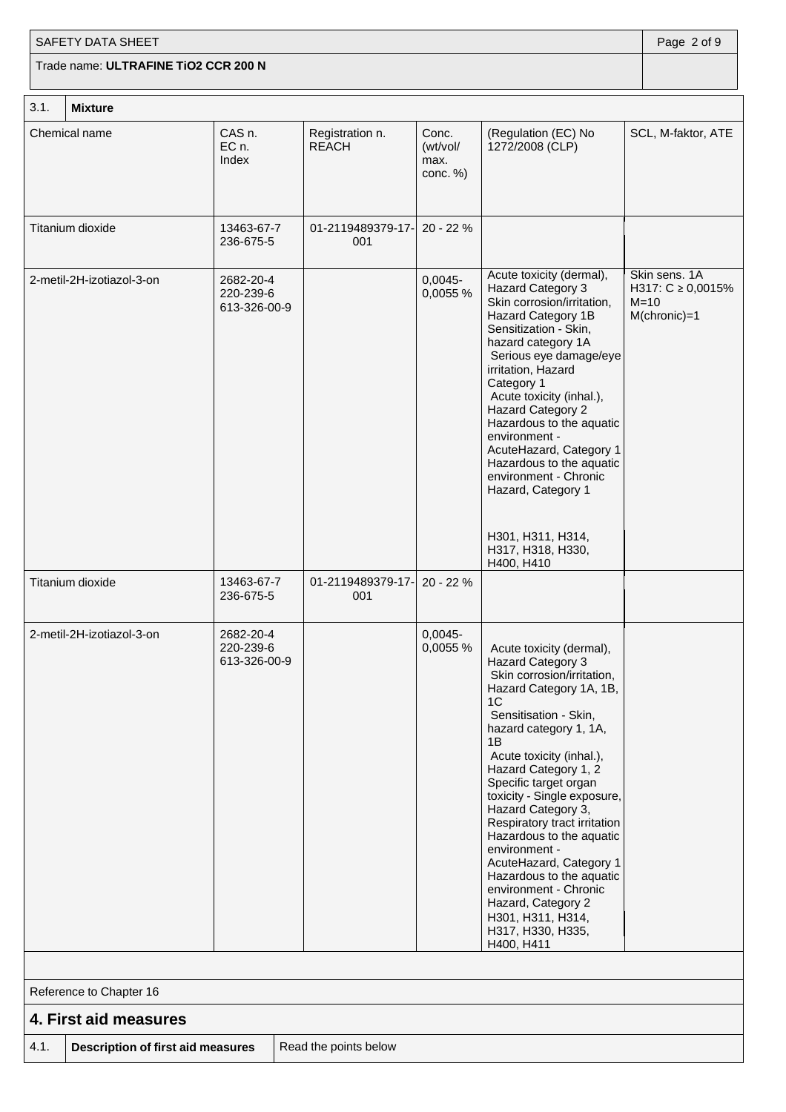## $3.1$  Mixtu SAFETY DATA SHEET **Page 2 of 9** Trade name: **ULTRAFINE TiO2 CCR 200 N**

| . ۱. ک | Mixture                   |                                        |                                 |                                       |                                                                                                                                                                                                                                                                                                                                                                                                                                                                                                                                                    |                                                                   |  |
|--------|---------------------------|----------------------------------------|---------------------------------|---------------------------------------|----------------------------------------------------------------------------------------------------------------------------------------------------------------------------------------------------------------------------------------------------------------------------------------------------------------------------------------------------------------------------------------------------------------------------------------------------------------------------------------------------------------------------------------------------|-------------------------------------------------------------------|--|
|        | Chemical name             | CAS n.<br>EC n.<br>Index               | Registration n.<br><b>REACH</b> | Conc.<br>(wt/vol/<br>max.<br>conc. %) | (Regulation (EC) No<br>1272/2008 (CLP)                                                                                                                                                                                                                                                                                                                                                                                                                                                                                                             | SCL, M-faktor, ATE                                                |  |
|        | Titanium dioxide          | 13463-67-7<br>236-675-5                | 01-2119489379-17-<br>001        | 20 - 22 %                             |                                                                                                                                                                                                                                                                                                                                                                                                                                                                                                                                                    |                                                                   |  |
|        | 2-metil-2H-izotiazol-3-on | 2682-20-4<br>220-239-6<br>613-326-00-9 |                                 | $0,0045 -$<br>0,0055 %                | Acute toxicity (dermal),<br>Hazard Category 3<br>Skin corrosion/irritation,<br>Hazard Category 1B<br>Sensitization - Skin,<br>hazard category 1A<br>Serious eye damage/eye<br>irritation, Hazard<br>Category 1<br>Acute toxicity (inhal.),<br><b>Hazard Category 2</b><br>Hazardous to the aquatic<br>environment -<br>AcuteHazard, Category 1<br>Hazardous to the aquatic<br>environment - Chronic<br>Hazard, Category 1<br>H301, H311, H314,<br>H317, H318, H330,<br>H400, H410                                                                  | Skin sens. 1A<br>H317: $C \ge 0,0015\%$<br>$M=10$<br>M(chronic)=1 |  |
|        | Titanium dioxide          | 13463-67-7<br>236-675-5                | 01-2119489379-17-<br>001        | 20 - 22 %                             |                                                                                                                                                                                                                                                                                                                                                                                                                                                                                                                                                    |                                                                   |  |
|        | 2-metil-2H-izotiazol-3-on | 2682-20-4<br>220-239-6<br>613-326-00-9 |                                 | $0,0045 -$<br>0,0055 %                | Acute toxicity (dermal),<br>Hazard Category 3<br>Skin corrosion/irritation,<br>Hazard Category 1A, 1B,<br>1C<br>Sensitisation - Skin,<br>hazard category 1, 1A,<br>1Β<br>Acute toxicity (inhal.),<br>Hazard Category 1, 2<br>Specific target organ<br>toxicity - Single exposure,<br>Hazard Category 3,<br>Respiratory tract irritation<br>Hazardous to the aquatic<br>environment -<br>AcuteHazard, Category 1<br>Hazardous to the aquatic<br>environment - Chronic<br>Hazard, Category 2<br>H301, H311, H314,<br>H317, H330, H335,<br>H400, H411 |                                                                   |  |
|        |                           |                                        |                                 |                                       |                                                                                                                                                                                                                                                                                                                                                                                                                                                                                                                                                    |                                                                   |  |
|        | Reference to Chapter 16   |                                        |                                 |                                       |                                                                                                                                                                                                                                                                                                                                                                                                                                                                                                                                                    |                                                                   |  |
|        | 4. First aid measures     |                                        |                                 |                                       |                                                                                                                                                                                                                                                                                                                                                                                                                                                                                                                                                    |                                                                   |  |

**4.1. Description of first aid measures** | Read the points below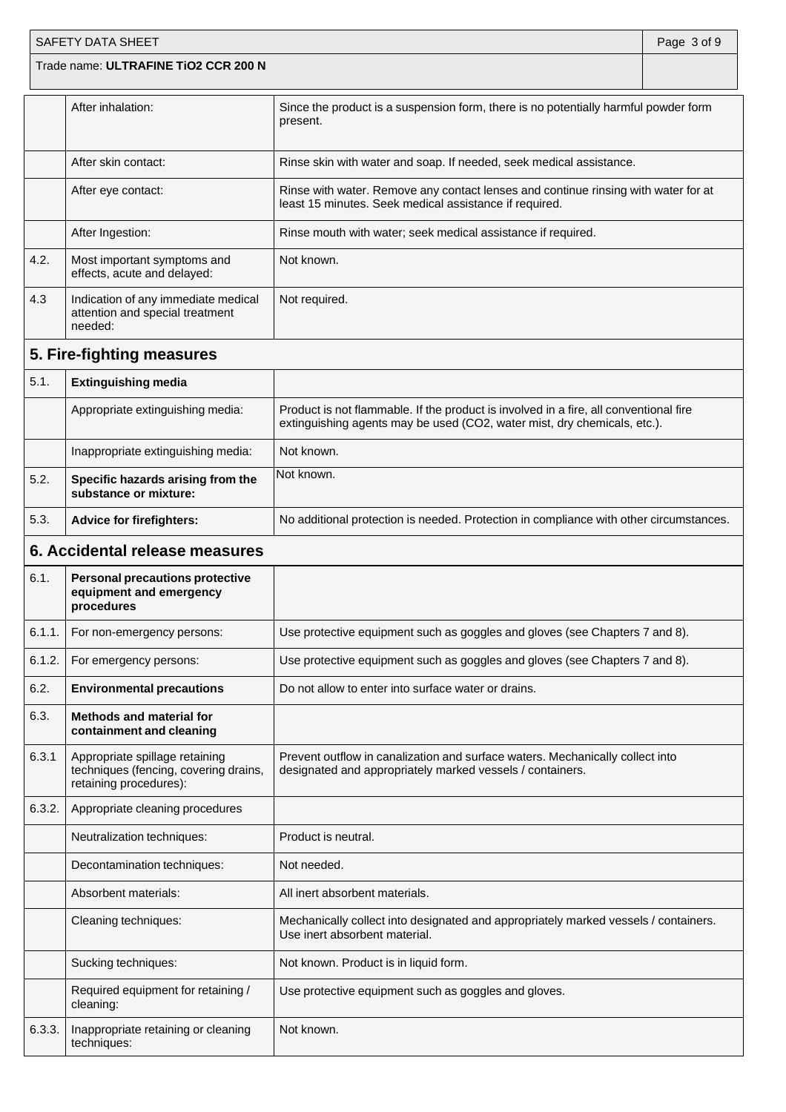|        | <b>SAFETY DATA SHEET</b>                                                                          |                                                                                                                                                                   | Page 3 of 9 |
|--------|---------------------------------------------------------------------------------------------------|-------------------------------------------------------------------------------------------------------------------------------------------------------------------|-------------|
|        | Trade name: ULTRAFINE TiO2 CCR 200 N                                                              |                                                                                                                                                                   |             |
|        | After inhalation:                                                                                 | Since the product is a suspension form, there is no potentially harmful powder form<br>present.                                                                   |             |
|        | After skin contact:                                                                               | Rinse skin with water and soap. If needed, seek medical assistance.                                                                                               |             |
|        | After eye contact:                                                                                | Rinse with water. Remove any contact lenses and continue rinsing with water for at<br>least 15 minutes. Seek medical assistance if required.                      |             |
|        | After Ingestion:                                                                                  | Rinse mouth with water; seek medical assistance if required.                                                                                                      |             |
| 4.2.   | Most important symptoms and<br>effects, acute and delayed:                                        | Not known.                                                                                                                                                        |             |
| 4.3    | Indication of any immediate medical<br>attention and special treatment<br>needed:                 | Not required.                                                                                                                                                     |             |
|        | 5. Fire-fighting measures                                                                         |                                                                                                                                                                   |             |
| 5.1.   | <b>Extinguishing media</b>                                                                        |                                                                                                                                                                   |             |
|        | Appropriate extinguishing media:                                                                  | Product is not flammable. If the product is involved in a fire, all conventional fire<br>extinguishing agents may be used (CO2, water mist, dry chemicals, etc.). |             |
|        | Inappropriate extinguishing media:                                                                | Not known.                                                                                                                                                        |             |
| 5.2.   | Specific hazards arising from the<br>substance or mixture:                                        | Not known.                                                                                                                                                        |             |
| 5.3.   | <b>Advice for firefighters:</b>                                                                   | No additional protection is needed. Protection in compliance with other circumstances.                                                                            |             |
|        | 6. Accidental release measures                                                                    |                                                                                                                                                                   |             |
| 6.1.   | <b>Personal precautions protective</b><br>equipment and emergency<br>procedures                   |                                                                                                                                                                   |             |
| 6.1.1. | For non-emergency persons:                                                                        | Use protective equipment such as goggles and gloves (see Chapters 7 and 8).                                                                                       |             |
| 6.1.2. | For emergency persons:                                                                            | Use protective equipment such as goggles and gloves (see Chapters 7 and 8).                                                                                       |             |
| 6.2.   | <b>Environmental precautions</b>                                                                  | Do not allow to enter into surface water or drains.                                                                                                               |             |
| 6.3.   | <b>Methods and material for</b><br>containment and cleaning                                       |                                                                                                                                                                   |             |
| 6.3.1  | Appropriate spillage retaining<br>techniques (fencing, covering drains,<br>retaining procedures): | Prevent outflow in canalization and surface waters. Mechanically collect into<br>designated and appropriately marked vessels / containers.                        |             |
| 6.3.2. | Appropriate cleaning procedures                                                                   |                                                                                                                                                                   |             |
|        | Neutralization techniques:                                                                        | Product is neutral.                                                                                                                                               |             |
|        | Decontamination techniques:                                                                       | Not needed.                                                                                                                                                       |             |
|        | Absorbent materials:                                                                              | All inert absorbent materials.                                                                                                                                    |             |
|        | Cleaning techniques:                                                                              | Mechanically collect into designated and appropriately marked vessels / containers.<br>Use inert absorbent material.                                              |             |
|        | Sucking techniques:                                                                               | Not known. Product is in liquid form.                                                                                                                             |             |
|        | Required equipment for retaining /<br>cleaning:                                                   | Use protective equipment such as goggles and gloves.                                                                                                              |             |
| 6.3.3. | Inappropriate retaining or cleaning<br>techniques:                                                | Not known.                                                                                                                                                        |             |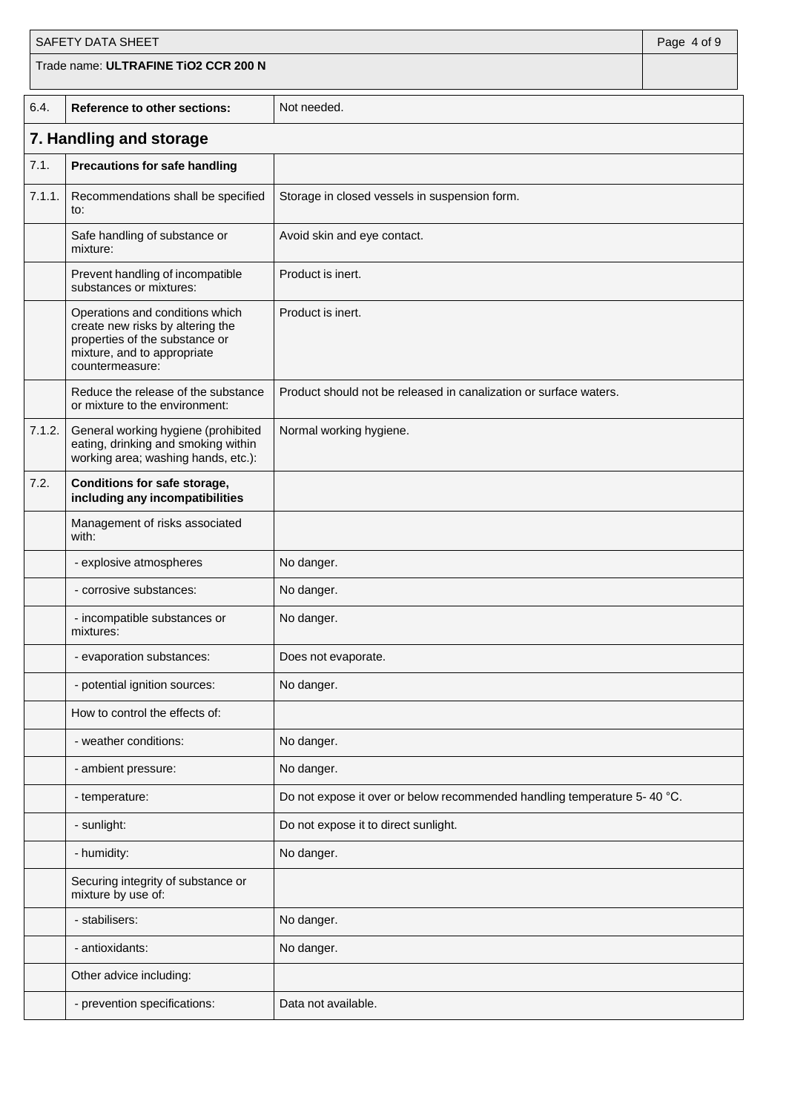|        | SAFETY DATA SHEET                                                                                                                                       |                                                                          | Page 4 of 9 |
|--------|---------------------------------------------------------------------------------------------------------------------------------------------------------|--------------------------------------------------------------------------|-------------|
|        | Trade name: ULTRAFINE TiO2 CCR 200 N                                                                                                                    |                                                                          |             |
| 6.4.   | <b>Reference to other sections:</b>                                                                                                                     | Not needed.                                                              |             |
|        | 7. Handling and storage                                                                                                                                 |                                                                          |             |
| 7.1.   | <b>Precautions for safe handling</b>                                                                                                                    |                                                                          |             |
| 7.1.1. | Recommendations shall be specified<br>to:                                                                                                               | Storage in closed vessels in suspension form.                            |             |
|        | Safe handling of substance or<br>mixture:                                                                                                               | Avoid skin and eye contact.                                              |             |
|        | Prevent handling of incompatible<br>substances or mixtures:                                                                                             | Product is inert.                                                        |             |
|        | Operations and conditions which<br>create new risks by altering the<br>properties of the substance or<br>mixture, and to appropriate<br>countermeasure: | Product is inert.                                                        |             |
|        | Reduce the release of the substance<br>or mixture to the environment:                                                                                   | Product should not be released in canalization or surface waters.        |             |
| 7.1.2. | General working hygiene (prohibited<br>eating, drinking and smoking within<br>working area; washing hands, etc.):                                       | Normal working hygiene.                                                  |             |
| 7.2.   | <b>Conditions for safe storage,</b><br>including any incompatibilities                                                                                  |                                                                          |             |
|        | Management of risks associated<br>with:                                                                                                                 |                                                                          |             |
|        | - explosive atmospheres                                                                                                                                 | No danger.                                                               |             |
|        | - corrosive substances:                                                                                                                                 | No danger.                                                               |             |
|        | - incompatible substances or<br>mixtures:                                                                                                               | No danger.                                                               |             |
|        | - evaporation substances:                                                                                                                               | Does not evaporate.                                                      |             |
|        | - potential ignition sources:                                                                                                                           | No danger.                                                               |             |
|        | How to control the effects of:                                                                                                                          |                                                                          |             |
|        | - weather conditions:                                                                                                                                   | No danger.                                                               |             |
|        | - ambient pressure:                                                                                                                                     | No danger.                                                               |             |
|        | - temperature:                                                                                                                                          | Do not expose it over or below recommended handling temperature 5-40 °C. |             |
|        | - sunlight:                                                                                                                                             | Do not expose it to direct sunlight.                                     |             |
|        | - humidity:                                                                                                                                             | No danger.                                                               |             |
|        | Securing integrity of substance or<br>mixture by use of:                                                                                                |                                                                          |             |
|        | - stabilisers:                                                                                                                                          | No danger.                                                               |             |
|        | - antioxidants:                                                                                                                                         | No danger.                                                               |             |
|        | Other advice including:                                                                                                                                 |                                                                          |             |
|        | - prevention specifications:                                                                                                                            | Data not available.                                                      |             |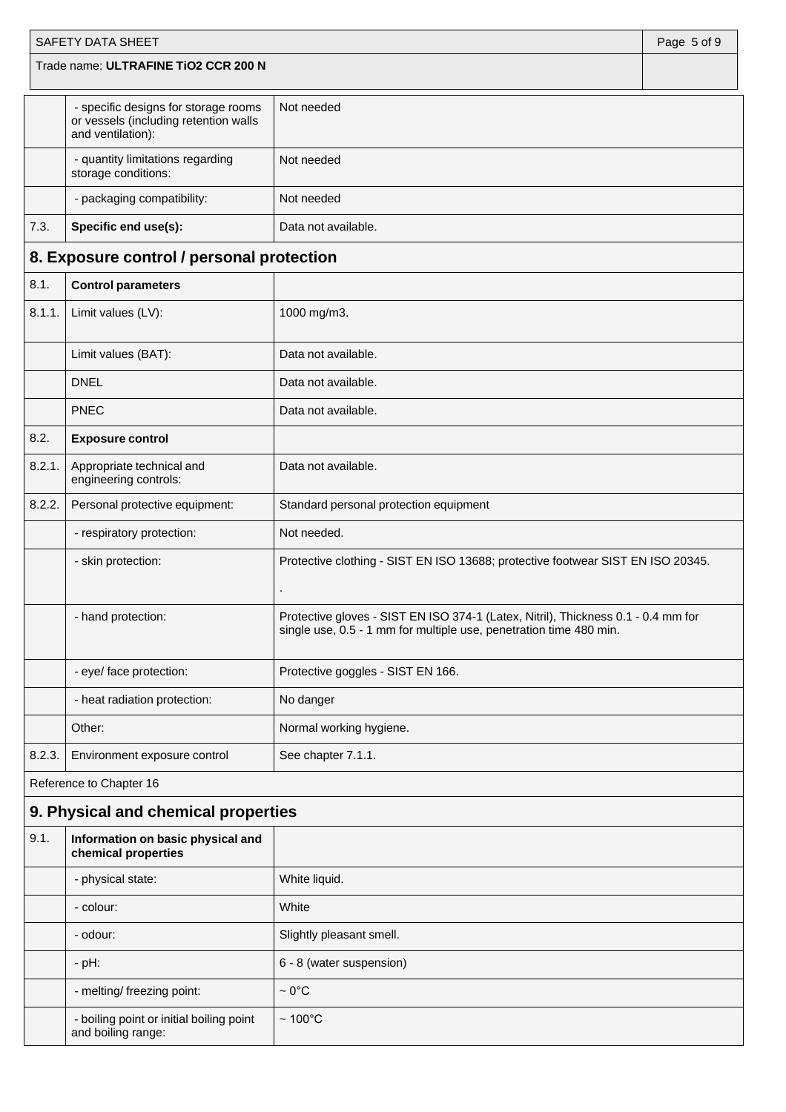|        | SAFETY DATA SHEET                                                                                  |                                                                                                                                                         | Page 5 of 9 |  |
|--------|----------------------------------------------------------------------------------------------------|---------------------------------------------------------------------------------------------------------------------------------------------------------|-------------|--|
|        | Trade name: ULTRAFINE TiO2 CCR 200 N                                                               |                                                                                                                                                         |             |  |
|        | - specific designs for storage rooms<br>or vessels (including retention walls<br>and ventilation): | Not needed                                                                                                                                              |             |  |
|        | - quantity limitations regarding<br>storage conditions:                                            | Not needed                                                                                                                                              |             |  |
|        | - packaging compatibility:                                                                         | Not needed                                                                                                                                              |             |  |
| 7.3.   | Specific end use(s):                                                                               | Data not available.                                                                                                                                     |             |  |
|        | 8. Exposure control / personal protection                                                          |                                                                                                                                                         |             |  |
| 8.1.   | <b>Control parameters</b>                                                                          |                                                                                                                                                         |             |  |
| 8.1.1. | Limit values (LV):                                                                                 | 1000 mg/m3.                                                                                                                                             |             |  |
|        | Limit values (BAT):                                                                                | Data not available.                                                                                                                                     |             |  |
|        | <b>DNEL</b>                                                                                        | Data not available.                                                                                                                                     |             |  |
|        | <b>PNEC</b>                                                                                        | Data not available.                                                                                                                                     |             |  |
| 8.2.   | <b>Exposure control</b>                                                                            |                                                                                                                                                         |             |  |
| 8.2.1. | Appropriate technical and<br>engineering controls:                                                 | Data not available.                                                                                                                                     |             |  |
| 8.2.2. | Personal protective equipment:                                                                     | Standard personal protection equipment                                                                                                                  |             |  |
|        | - respiratory protection:                                                                          | Not needed.                                                                                                                                             |             |  |
|        | - skin protection:                                                                                 | Protective clothing - SIST EN ISO 13688; protective footwear SIST EN ISO 20345.                                                                         |             |  |
|        | - hand protection:                                                                                 | Protective gloves - SIST EN ISO 374-1 (Latex, Nitril), Thickness 0.1 - 0.4 mm for<br>single use, 0.5 - 1 mm for multiple use, penetration time 480 min. |             |  |
|        | - eye/ face protection:                                                                            | Protective goggles - SIST EN 166.                                                                                                                       |             |  |
|        | - heat radiation protection:                                                                       | No danger                                                                                                                                               |             |  |
|        | Other:                                                                                             | Normal working hygiene.                                                                                                                                 |             |  |
| 8.2.3. | Environment exposure control                                                                       | See chapter 7.1.1.                                                                                                                                      |             |  |
|        | Reference to Chapter 16                                                                            |                                                                                                                                                         |             |  |
|        | 9. Physical and chemical properties                                                                |                                                                                                                                                         |             |  |
| 9.1.   | Information on basic physical and<br>chemical properties                                           |                                                                                                                                                         |             |  |
|        | - physical state:                                                                                  | White liquid.                                                                                                                                           |             |  |
|        | - colour:                                                                                          | White                                                                                                                                                   |             |  |
|        | - odour:                                                                                           | Slightly pleasant smell.                                                                                                                                |             |  |
|        | $-$ pH:                                                                                            | 6 - 8 (water suspension)                                                                                                                                |             |  |
|        | - melting/ freezing point:                                                                         | $\sim 0^{\circ}$ C                                                                                                                                      |             |  |
|        | - boiling point or initial boiling point<br>and boiling range:                                     | $~100^{\circ}$ C                                                                                                                                        |             |  |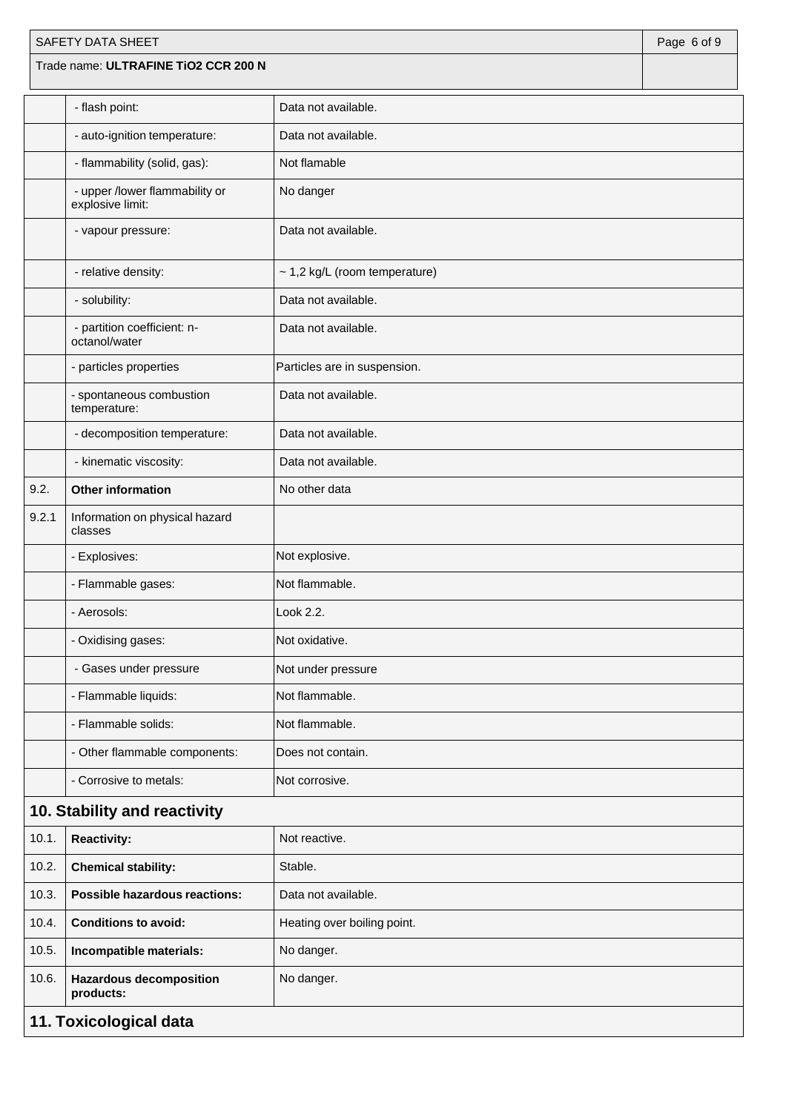| SAFETY DATA SHEET |                                                    |                               |  |  |
|-------------------|----------------------------------------------------|-------------------------------|--|--|
|                   | Trade name: ULTRAFINE TiO2 CCR 200 N               |                               |  |  |
|                   | - flash point:                                     | Data not available.           |  |  |
|                   | - auto-ignition temperature:                       | Data not available.           |  |  |
|                   | - flammability (solid, gas):                       | Not flamable                  |  |  |
|                   | - upper /lower flammability or<br>explosive limit: | No danger                     |  |  |
|                   | - vapour pressure:                                 | Data not available.           |  |  |
|                   | - relative density:                                | ~ 1,2 kg/L (room temperature) |  |  |
|                   | - solubility:                                      | Data not available.           |  |  |
|                   | - partition coefficient: n-<br>octanol/water       | Data not available.           |  |  |
|                   | - particles properties                             | Particles are in suspension.  |  |  |
|                   | - spontaneous combustion<br>temperature:           | Data not available.           |  |  |
|                   | - decomposition temperature:                       | Data not available.           |  |  |
|                   | - kinematic viscosity:                             | Data not available.           |  |  |
| 9.2.              | <b>Other information</b><br>No other data          |                               |  |  |
| 9.2.1             | Information on physical hazard<br>classes          |                               |  |  |
|                   | - Explosives:                                      | Not explosive.                |  |  |
|                   | - Flammable gases:                                 | Not flammable.                |  |  |
|                   | - Aerosols:                                        | Look 2.2.                     |  |  |
|                   | - Oxidising gases:                                 | Not oxidative.                |  |  |
|                   | - Gases under pressure                             | Not under pressure            |  |  |
|                   | - Flammable liquids:                               | Not flammable.                |  |  |
|                   | - Flammable solids:                                | Not flammable.                |  |  |
|                   | - Other flammable components:                      | Does not contain.             |  |  |
|                   | - Corrosive to metals:                             | Not corrosive.                |  |  |
|                   | 10. Stability and reactivity                       |                               |  |  |
| 10.1.             | <b>Reactivity:</b>                                 | Not reactive.                 |  |  |
| 10.2.             | <b>Chemical stability:</b>                         | Stable.                       |  |  |
| 10.3.             | <b>Possible hazardous reactions:</b>               | Data not available.           |  |  |
| 10.4.             | <b>Conditions to avoid:</b>                        | Heating over boiling point.   |  |  |
| 10.5.             | Incompatible materials:                            | No danger.                    |  |  |
| 10.6.             | <b>Hazardous decomposition</b><br>products:        | No danger.                    |  |  |
|                   | 11. Toxicological data                             |                               |  |  |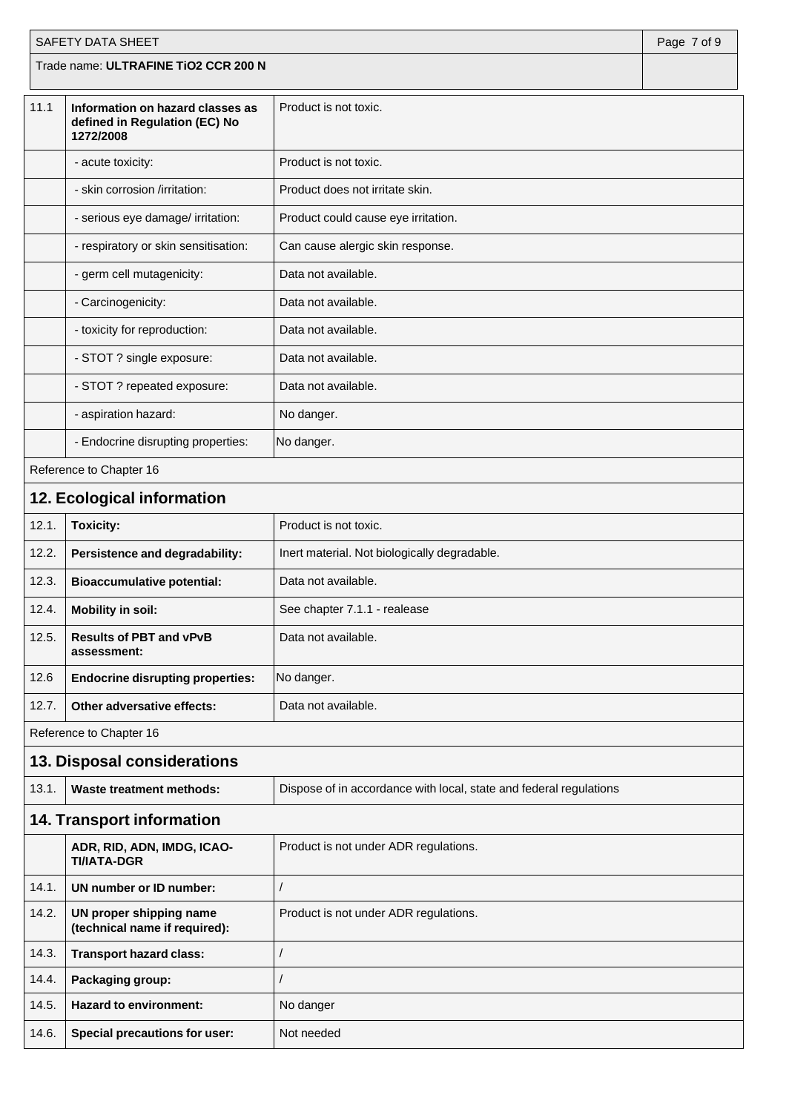| SAFETY DATA SHEET<br>Page 7 of 9 |                                                                                |                                                                    |  |  |
|----------------------------------|--------------------------------------------------------------------------------|--------------------------------------------------------------------|--|--|
|                                  | Trade name: ULTRAFINE TiO2 CCR 200 N                                           |                                                                    |  |  |
| 11.1                             | Information on hazard classes as<br>defined in Regulation (EC) No<br>1272/2008 | Product is not toxic.                                              |  |  |
|                                  | - acute toxicity:                                                              | Product is not toxic.                                              |  |  |
|                                  | - skin corrosion /irritation:                                                  | Product does not irritate skin.                                    |  |  |
|                                  | - serious eye damage/ irritation:                                              | Product could cause eye irritation.                                |  |  |
|                                  | - respiratory or skin sensitisation:                                           | Can cause alergic skin response.                                   |  |  |
|                                  | - germ cell mutagenicity:                                                      | Data not available.                                                |  |  |
|                                  | - Carcinogenicity:                                                             | Data not available.                                                |  |  |
|                                  | - toxicity for reproduction:                                                   | Data not available.                                                |  |  |
|                                  | - STOT ? single exposure:                                                      | Data not available.                                                |  |  |
|                                  | - STOT ? repeated exposure:                                                    | Data not available.                                                |  |  |
|                                  | - aspiration hazard:                                                           | No danger.                                                         |  |  |
|                                  | - Endocrine disrupting properties:                                             | No danger.                                                         |  |  |
|                                  | Reference to Chapter 16                                                        |                                                                    |  |  |
|                                  | 12. Ecological information                                                     |                                                                    |  |  |
| 12.1.                            | <b>Toxicity:</b>                                                               | Product is not toxic.                                              |  |  |
| 12.2.                            | Persistence and degradability:                                                 | Inert material. Not biologically degradable.                       |  |  |
| 12.3.                            | <b>Bioaccumulative potential:</b>                                              | Data not available.                                                |  |  |
| 12.4.                            | <b>Mobility in soil:</b>                                                       | See chapter 7.1.1 - realease                                       |  |  |
| 12.5.                            | Data not available.<br><b>Results of PBT and vPvB</b><br>assessment:           |                                                                    |  |  |
| 12.6                             | <b>Endocrine disrupting properties:</b>                                        | No danger.                                                         |  |  |
| 12.7.                            | Other adversative effects:                                                     | Data not available.                                                |  |  |
|                                  | Reference to Chapter 16                                                        |                                                                    |  |  |
|                                  | 13. Disposal considerations                                                    |                                                                    |  |  |
| 13.1.                            | <b>Waste treatment methods:</b>                                                | Dispose of in accordance with local, state and federal regulations |  |  |
|                                  | <b>14. Transport information</b>                                               |                                                                    |  |  |
|                                  | ADR, RID, ADN, IMDG, ICAO-<br><b>TI/IATA-DGR</b>                               | Product is not under ADR regulations.                              |  |  |
| 14.1.                            | UN number or ID number:                                                        | $\prime$                                                           |  |  |
| 14.2.                            | UN proper shipping name<br>(technical name if required):                       | Product is not under ADR regulations.                              |  |  |
| 14.3.                            | <b>Transport hazard class:</b>                                                 | $\overline{1}$                                                     |  |  |
| 14.4.                            | Packaging group:                                                               | $\prime$                                                           |  |  |
| 14.5.                            | <b>Hazard to environment:</b><br>No danger                                     |                                                                    |  |  |
| 14.6.                            | <b>Special precautions for user:</b>                                           | Not needed                                                         |  |  |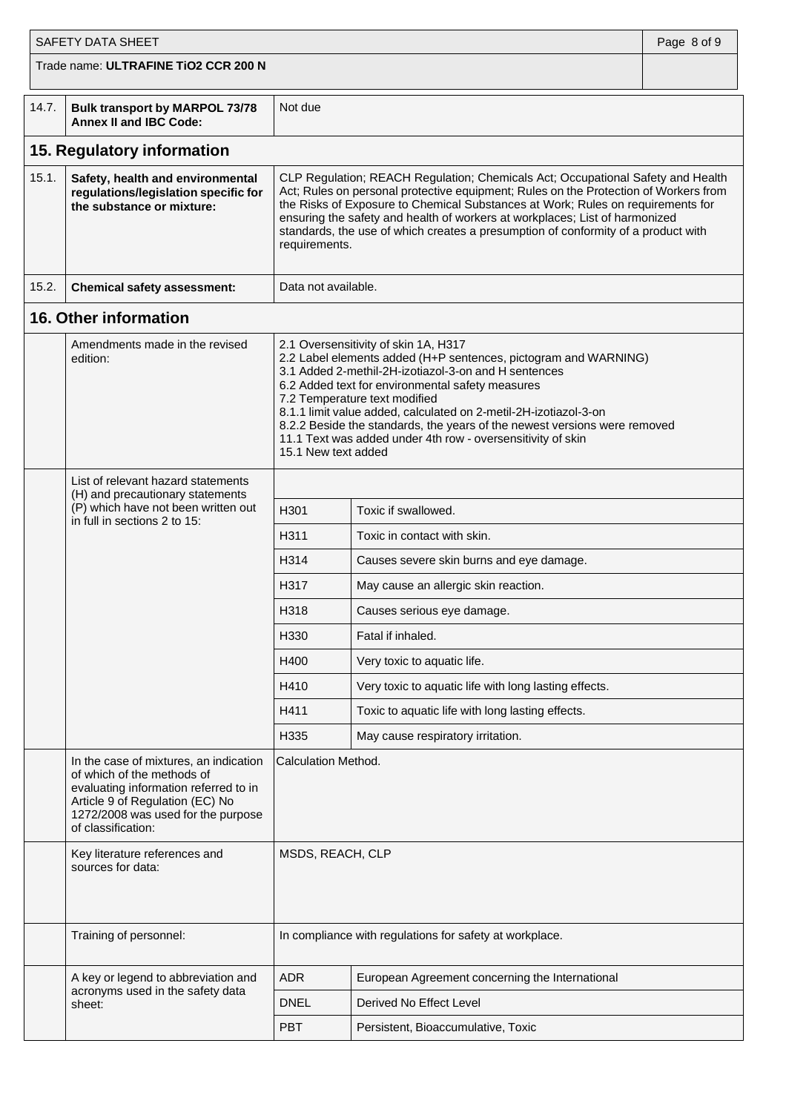| <b>SAFETY DATA SHEET</b> |                                                                                                                                                                                                              |                                                                                                                                                                                                                                                                                                                                                                                                                                                                                             | Page 8 of 9                                             |  |
|--------------------------|--------------------------------------------------------------------------------------------------------------------------------------------------------------------------------------------------------------|---------------------------------------------------------------------------------------------------------------------------------------------------------------------------------------------------------------------------------------------------------------------------------------------------------------------------------------------------------------------------------------------------------------------------------------------------------------------------------------------|---------------------------------------------------------|--|
|                          | Trade name: ULTRAFINE TIO2 CCR 200 N                                                                                                                                                                         |                                                                                                                                                                                                                                                                                                                                                                                                                                                                                             |                                                         |  |
| 14.7.                    | Bulk transport by MARPOL 73/78<br><b>Annex II and IBC Code:</b>                                                                                                                                              | Not due                                                                                                                                                                                                                                                                                                                                                                                                                                                                                     |                                                         |  |
|                          | 15. Regulatory information                                                                                                                                                                                   |                                                                                                                                                                                                                                                                                                                                                                                                                                                                                             |                                                         |  |
| 15.1.                    | Safety, health and environmental<br>regulations/legislation specific for<br>the substance or mixture:                                                                                                        | CLP Regulation; REACH Regulation; Chemicals Act; Occupational Safety and Health<br>Act; Rules on personal protective equipment; Rules on the Protection of Workers from<br>the Risks of Exposure to Chemical Substances at Work; Rules on requirements for<br>ensuring the safety and health of workers at workplaces; List of harmonized<br>standards, the use of which creates a presumption of conformity of a product with<br>requirements.                                             |                                                         |  |
| 15.2.                    | <b>Chemical safety assessment:</b>                                                                                                                                                                           | Data not available.                                                                                                                                                                                                                                                                                                                                                                                                                                                                         |                                                         |  |
|                          | 16. Other information                                                                                                                                                                                        |                                                                                                                                                                                                                                                                                                                                                                                                                                                                                             |                                                         |  |
|                          | Amendments made in the revised<br>edition:                                                                                                                                                                   | 2.1 Oversensitivity of skin 1A, H317<br>2.2 Label elements added (H+P sentences, pictogram and WARNING)<br>3.1 Added 2-methil-2H-izotiazol-3-on and H sentences<br>6.2 Added text for environmental safety measures<br>7.2 Temperature text modified<br>8.1.1 limit value added, calculated on 2-metil-2H-izotiazol-3-on<br>8.2.2 Beside the standards, the years of the newest versions were removed<br>11.1 Text was added under 4th row - oversensitivity of skin<br>15.1 New text added |                                                         |  |
|                          | List of relevant hazard statements<br>(H) and precautionary statements                                                                                                                                       |                                                                                                                                                                                                                                                                                                                                                                                                                                                                                             |                                                         |  |
|                          | (P) which have not been written out<br>in full in sections 2 to 15:                                                                                                                                          | H301                                                                                                                                                                                                                                                                                                                                                                                                                                                                                        | Toxic if swallowed.                                     |  |
|                          |                                                                                                                                                                                                              | H311                                                                                                                                                                                                                                                                                                                                                                                                                                                                                        | Toxic in contact with skin.                             |  |
|                          |                                                                                                                                                                                                              | H314                                                                                                                                                                                                                                                                                                                                                                                                                                                                                        | Causes severe skin burns and eye damage.                |  |
|                          |                                                                                                                                                                                                              | H317                                                                                                                                                                                                                                                                                                                                                                                                                                                                                        | May cause an allergic skin reaction.                    |  |
|                          |                                                                                                                                                                                                              | H318                                                                                                                                                                                                                                                                                                                                                                                                                                                                                        | Causes serious eye damage.                              |  |
|                          |                                                                                                                                                                                                              | H330                                                                                                                                                                                                                                                                                                                                                                                                                                                                                        | Fatal if inhaled.                                       |  |
|                          |                                                                                                                                                                                                              | H400                                                                                                                                                                                                                                                                                                                                                                                                                                                                                        | Very toxic to aquatic life.                             |  |
|                          |                                                                                                                                                                                                              | H410                                                                                                                                                                                                                                                                                                                                                                                                                                                                                        | Very toxic to aquatic life with long lasting effects.   |  |
|                          |                                                                                                                                                                                                              | H411                                                                                                                                                                                                                                                                                                                                                                                                                                                                                        | Toxic to aquatic life with long lasting effects.        |  |
|                          |                                                                                                                                                                                                              | H335                                                                                                                                                                                                                                                                                                                                                                                                                                                                                        | May cause respiratory irritation.                       |  |
|                          | In the case of mixtures, an indication<br>of which of the methods of<br>evaluating information referred to in<br>Article 9 of Regulation (EC) No<br>1272/2008 was used for the purpose<br>of classification: | Calculation Method.                                                                                                                                                                                                                                                                                                                                                                                                                                                                         |                                                         |  |
|                          | Key literature references and<br>sources for data:                                                                                                                                                           | MSDS, REACH, CLP                                                                                                                                                                                                                                                                                                                                                                                                                                                                            |                                                         |  |
|                          | Training of personnel:                                                                                                                                                                                       |                                                                                                                                                                                                                                                                                                                                                                                                                                                                                             | In compliance with regulations for safety at workplace. |  |
|                          | A key or legend to abbreviation and                                                                                                                                                                          | <b>ADR</b>                                                                                                                                                                                                                                                                                                                                                                                                                                                                                  | European Agreement concerning the International         |  |
|                          | acronyms used in the safety data<br>sheet:                                                                                                                                                                   | <b>DNEL</b>                                                                                                                                                                                                                                                                                                                                                                                                                                                                                 | Derived No Effect Level                                 |  |
|                          |                                                                                                                                                                                                              | <b>PBT</b>                                                                                                                                                                                                                                                                                                                                                                                                                                                                                  | Persistent, Bioaccumulative, Toxic                      |  |